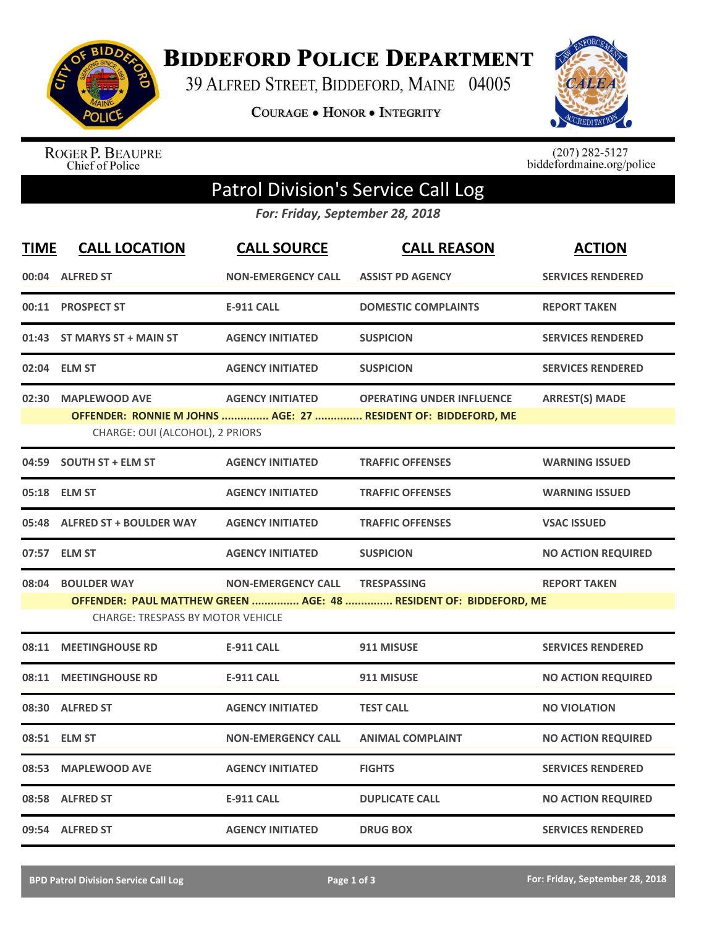

**BIDDEFORD POLICE DEPARTMENT** 

39 ALFRED STREET, BIDDEFORD, MAINE 04005

**COURAGE . HONOR . INTEGRITY** 



ROGER P. BEAUPRE<br>Chief of Police

 $(207)$  282-5127<br>biddefordmaine.org/police

## Patrol Division's Service Call Log

*For: Friday, September 28, 2018*

| <b>TIME</b> | <b>CALL LOCATION</b>                                                                                          | <b>CALL SOURCE</b>        | <b>CALL REASON</b>                                            | <b>ACTION</b>             |  |  |  |
|-------------|---------------------------------------------------------------------------------------------------------------|---------------------------|---------------------------------------------------------------|---------------------------|--|--|--|
|             | 00:04 ALFRED ST                                                                                               | <b>NON-EMERGENCY CALL</b> | <b>ASSIST PD AGENCY</b>                                       | <b>SERVICES RENDERED</b>  |  |  |  |
|             | 00:11 PROSPECT ST                                                                                             | <b>E-911 CALL</b>         | <b>DOMESTIC COMPLAINTS</b>                                    | <b>REPORT TAKEN</b>       |  |  |  |
|             | 01:43 ST MARYS ST + MAIN ST                                                                                   | <b>AGENCY INITIATED</b>   | <b>SUSPICION</b>                                              | <b>SERVICES RENDERED</b>  |  |  |  |
|             | 02:04 ELM ST                                                                                                  | <b>AGENCY INITIATED</b>   | <b>SUSPICION</b>                                              | <b>SERVICES RENDERED</b>  |  |  |  |
|             | 02:30 MAPLEWOOD AVE                                                                                           | <b>AGENCY INITIATED</b>   | <b>OPERATING UNDER INFLUENCE</b>                              | <b>ARREST(S) MADE</b>     |  |  |  |
|             | CHARGE: OUI (ALCOHOL), 2 PRIORS                                                                               |                           | OFFENDER: RONNIE M JOHNS  AGE: 27  RESIDENT OF: BIDDEFORD, ME |                           |  |  |  |
|             |                                                                                                               |                           |                                                               |                           |  |  |  |
| 04:59       | <b>SOUTH ST + ELM ST</b>                                                                                      | <b>AGENCY INITIATED</b>   | <b>TRAFFIC OFFENSES</b>                                       | <b>WARNING ISSUED</b>     |  |  |  |
|             | 05:18 ELM ST                                                                                                  | <b>AGENCY INITIATED</b>   | <b>TRAFFIC OFFENSES</b>                                       | <b>WARNING ISSUED</b>     |  |  |  |
| 05:48       | <b>ALFRED ST + BOULDER WAY</b>                                                                                | <b>AGENCY INITIATED</b>   | <b>TRAFFIC OFFENSES</b>                                       | <b>VSAC ISSUED</b>        |  |  |  |
|             | 07:57 ELM ST                                                                                                  | <b>AGENCY INITIATED</b>   | <b>SUSPICION</b>                                              | <b>NO ACTION REQUIRED</b> |  |  |  |
| 08:04       | <b>BOULDER WAY</b>                                                                                            | <b>NON-EMERGENCY CALL</b> | <b>TRESPASSING</b>                                            | <b>REPORT TAKEN</b>       |  |  |  |
|             | OFFENDER: PAUL MATTHEW GREEN  AGE: 48  RESIDENT OF: BIDDEFORD, ME<br><b>CHARGE: TRESPASS BY MOTOR VEHICLE</b> |                           |                                                               |                           |  |  |  |
| 08:11       | <b>MEETINGHOUSE RD</b>                                                                                        | <b>E-911 CALL</b>         | 911 MISUSE                                                    | <b>SERVICES RENDERED</b>  |  |  |  |
| 08:11       | <b>MEETINGHOUSE RD</b>                                                                                        | <b>E-911 CALL</b>         | 911 MISUSE                                                    | <b>NO ACTION REQUIRED</b> |  |  |  |
| 08:30       | <b>ALFRED ST</b>                                                                                              | <b>AGENCY INITIATED</b>   | <b>TEST CALL</b>                                              | <b>NO VIOLATION</b>       |  |  |  |
| 08:51       | <b>ELM ST</b>                                                                                                 | <b>NON-EMERGENCY CALL</b> | <b>ANIMAL COMPLAINT</b>                                       | <b>NO ACTION REQUIRED</b> |  |  |  |
| 08:53       | <b>MAPLEWOOD AVE</b>                                                                                          | <b>AGENCY INITIATED</b>   | <b>FIGHTS</b>                                                 | <b>SERVICES RENDERED</b>  |  |  |  |
|             | 08:58 ALFRED ST                                                                                               | <b>E-911 CALL</b>         | <b>DUPLICATE CALL</b>                                         | <b>NO ACTION REQUIRED</b> |  |  |  |
|             | 09:54 ALFRED ST                                                                                               | <b>AGENCY INITIATED</b>   | <b>DRUG BOX</b>                                               | <b>SERVICES RENDERED</b>  |  |  |  |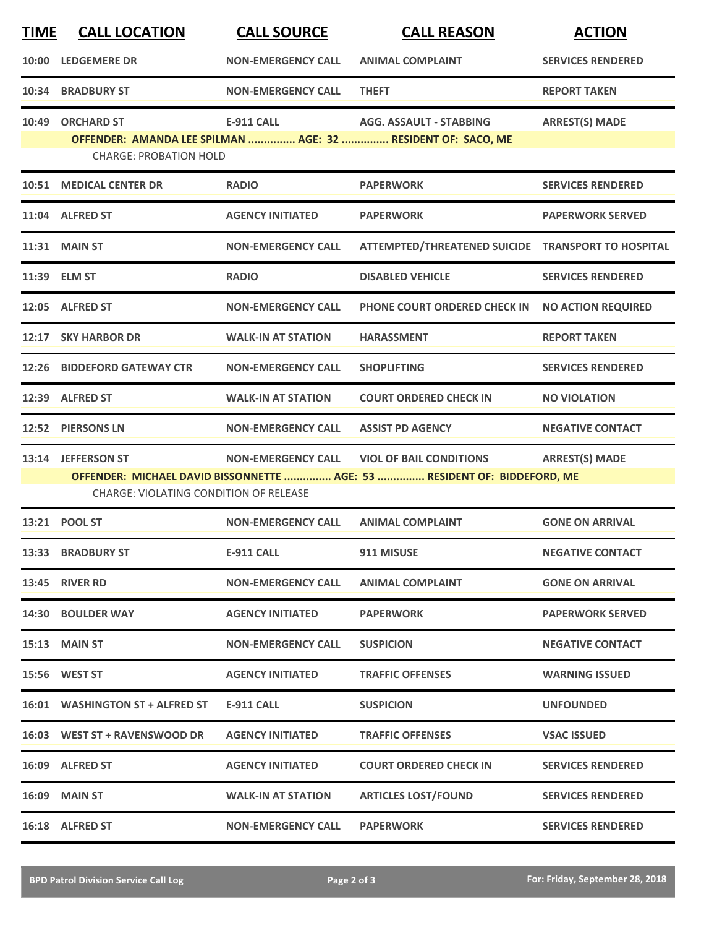| <b>TIME</b> | <b>CALL LOCATION</b>                          | <b>CALL SOURCE</b>        | <b>CALL REASON</b>                                                                                         | <b>ACTION</b>             |
|-------------|-----------------------------------------------|---------------------------|------------------------------------------------------------------------------------------------------------|---------------------------|
| 10:00       | <b>LEDGEMERE DR</b>                           | <b>NON-EMERGENCY CALL</b> | <b>ANIMAL COMPLAINT</b>                                                                                    | <b>SERVICES RENDERED</b>  |
| 10:34       | <b>BRADBURY ST</b>                            | <b>NON-EMERGENCY CALL</b> | <b>THEFT</b>                                                                                               | <b>REPORT TAKEN</b>       |
| 10:49       | <b>ORCHARD ST</b>                             | <b>E-911 CALL</b>         | <b>AGG. ASSAULT - STABBING</b>                                                                             | <b>ARREST(S) MADE</b>     |
|             | <b>CHARGE: PROBATION HOLD</b>                 |                           | OFFENDER: AMANDA LEE SPILMAN  AGE: 32  RESIDENT OF: SACO, ME                                               |                           |
|             | 10:51 MEDICAL CENTER DR                       | <b>RADIO</b>              | <b>PAPERWORK</b>                                                                                           | <b>SERVICES RENDERED</b>  |
|             | 11:04 ALFRED ST                               | <b>AGENCY INITIATED</b>   | <b>PAPERWORK</b>                                                                                           | <b>PAPERWORK SERVED</b>   |
|             | 11:31 MAIN ST                                 | <b>NON-EMERGENCY CALL</b> | ATTEMPTED/THREATENED SUICIDE TRANSPORT TO HOSPITAL                                                         |                           |
|             | 11:39 ELM ST                                  | <b>RADIO</b>              | <b>DISABLED VEHICLE</b>                                                                                    | <b>SERVICES RENDERED</b>  |
| 12:05       | <b>ALFRED ST</b>                              | <b>NON-EMERGENCY CALL</b> | PHONE COURT ORDERED CHECK IN                                                                               | <b>NO ACTION REQUIRED</b> |
|             | 12:17 SKY HARBOR DR                           | <b>WALK-IN AT STATION</b> | <b>HARASSMENT</b>                                                                                          | <b>REPORT TAKEN</b>       |
|             | 12:26 BIDDEFORD GATEWAY CTR                   | <b>NON-EMERGENCY CALL</b> | <b>SHOPLIFTING</b>                                                                                         | <b>SERVICES RENDERED</b>  |
| 12:39       | <b>ALFRED ST</b>                              | <b>WALK-IN AT STATION</b> | <b>COURT ORDERED CHECK IN</b>                                                                              | <b>NO VIOLATION</b>       |
|             | 12:52 PIERSONS LN                             | <b>NON-EMERGENCY CALL</b> | <b>ASSIST PD AGENCY</b>                                                                                    | <b>NEGATIVE CONTACT</b>   |
|             | 13:14 JEFFERSON ST                            | <b>NON-EMERGENCY CALL</b> | <b>VIOL OF BAIL CONDITIONS</b><br>OFFENDER: MICHAEL DAVID BISSONNETTE  AGE: 53  RESIDENT OF: BIDDEFORD, ME | <b>ARREST(S) MADE</b>     |
|             | <b>CHARGE: VIOLATING CONDITION OF RELEASE</b> |                           |                                                                                                            |                           |
|             | 13:21 POOL ST                                 | <b>NON-EMERGENCY CALL</b> | <b>ANIMAL COMPLAINT</b>                                                                                    | <b>GONE ON ARRIVAL</b>    |
|             | <b>13:33 BRADBURY ST</b>                      | <b>E-911 CALL</b>         | 911 MISUSE                                                                                                 | <b>NEGATIVE CONTACT</b>   |
|             | <b>13:45 RIVER RD</b>                         | <b>NON-EMERGENCY CALL</b> | <b>ANIMAL COMPLAINT</b>                                                                                    | <b>GONE ON ARRIVAL</b>    |
|             | 14:30 BOULDER WAY                             | <b>AGENCY INITIATED</b>   | <b>PAPERWORK</b>                                                                                           | <b>PAPERWORK SERVED</b>   |
|             | 15:13 MAIN ST                                 | <b>NON-EMERGENCY CALL</b> | <b>SUSPICION</b>                                                                                           | <b>NEGATIVE CONTACT</b>   |
|             | 15:56 WEST ST                                 | <b>AGENCY INITIATED</b>   | <b>TRAFFIC OFFENSES</b>                                                                                    | <b>WARNING ISSUED</b>     |
|             | 16:01 WASHINGTON ST + ALFRED ST               | <b>E-911 CALL</b>         | <b>SUSPICION</b>                                                                                           | <b>UNFOUNDED</b>          |
|             | 16:03 WEST ST + RAVENSWOOD DR                 | <b>AGENCY INITIATED</b>   | <b>TRAFFIC OFFENSES</b>                                                                                    | <b>VSAC ISSUED</b>        |
|             | 16:09 ALFRED ST                               | <b>AGENCY INITIATED</b>   | <b>COURT ORDERED CHECK IN</b>                                                                              | <b>SERVICES RENDERED</b>  |
|             | <b>16:09 MAIN ST</b>                          | <b>WALK-IN AT STATION</b> | <b>ARTICLES LOST/FOUND</b>                                                                                 | <b>SERVICES RENDERED</b>  |
|             | 16:18 ALFRED ST                               | <b>NON-EMERGENCY CALL</b> | <b>PAPERWORK</b>                                                                                           | <b>SERVICES RENDERED</b>  |